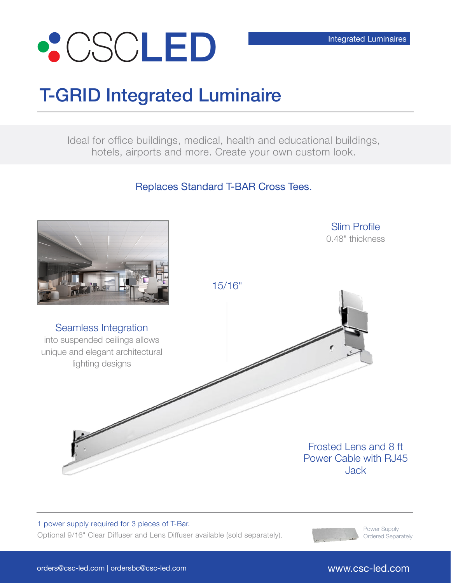

## T-GRID Integrated Luminaire

Ideal for office buildings, medical, health and educational buildings, hotels, airports and more. Create your own custom look.

Replaces Standard T-BAR Cross Tees.